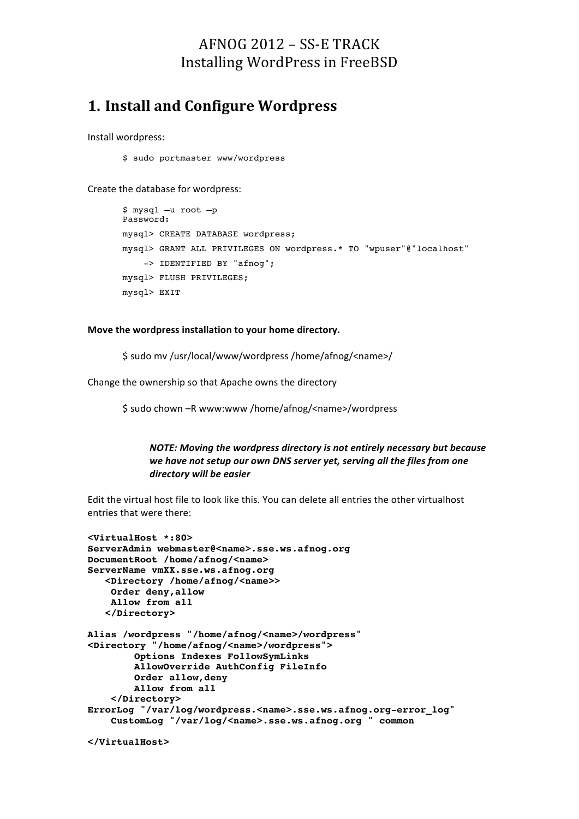## $AFNOG 2012 - SS-E TRACK$ Installing WordPress in FreeBSD

## **1. Install and Configure Wordpress**

Install wordpress:

\$ sudo portmaster www/wordpress

Create the database for wordpress:

```
$ mysql –u root –p
Password:
mysql> CREATE DATABASE wordpress; 
mysql> GRANT ALL PRIVILEGES ON wordpress.* TO "wpuser"@"localhost"
     -> IDENTIFIED BY "afnog";
mysql> FLUSH PRIVILEGES;
mysql> EXIT
```
#### Move the wordpress installation to your home directory.

\$ sudo mv /usr/local/www/wordpress /home/afnog/<name>/

Change the ownership so that Apache owns the directory

\$ sudo chown -R www:www /home/afnog/<name>/wordpress

```
NOTE: Moving the wordpress directory is not entirely necessary but because
we have not setup our own DNS server yet, serving all the files from one
directory	will	be	easier
```
Edit the virtual host file to look like this. You can delete all entries the other virtualhost entries that were there:

```
<VirtualHost *:80>
ServerAdmin webmaster@<name>.sse.ws.afnog.org
DocumentRoot /home/afnog/<name>
ServerName vmXX.sse.ws.afnog.org
    <Directory /home/afnog/<name>>
    Order deny,allow
    Allow from all
    </Directory>
Alias /wordpress "/home/afnog/<name>/wordpress"
<Directory "/home/afnog/<name>/wordpress">
         Options Indexes FollowSymLinks
         AllowOverride AuthConfig FileInfo
         Order allow,deny
         Allow from all
     </Directory>
ErrorLog "/var/log/wordpress.<name>.sse.ws.afnog.org-error_log"
     CustomLog "/var/log/<name>.sse.ws.afnog.org " common
```

```
</VirtualHost>
```